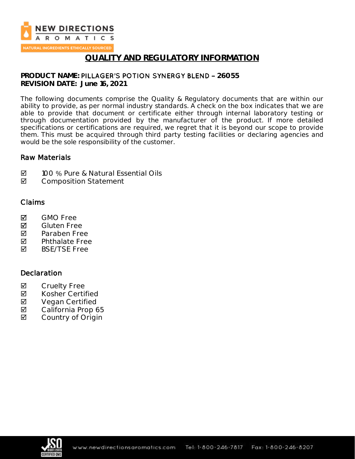

NATURAL INGREDIENTS ETHICALLY SOURCED

#### **QUALITY AND REGULATORY INFORMATION**

# **PRODUCT NAME: PILLAGER'S POTION SYNERGY BLEND - 26055**

**REVISION DATE: June 16, 2021**

The following documents comprise the Quality & Regulatory documents that are within our ability to provide, as per normal industry standards. A check on the box indicates that we are able to provide that document or certificate either through internal laboratory testing or through documentation provided by the manufacturer of the product. If more detailed specifications or certifications are required, we regret that it is beyond our scope to provide them. This must be acquired through third party testing facilities or declaring agencies and would be the sole responsibility of the customer.

#### Raw Materials

- **Ø** 100 % Pure & Natural Essential Oils
- **Ø** Composition Statement

#### Claims

- **M** GMO Free
- **M** Gluten Free
- **Z** Paraben Free
- $\nabla$  Phthalate Free<br>  $\nabla$  BSF/TSF Free
- BSE/TSE Free

#### **Declaration**

- ☑ Cruelty Free<br>☑ Kosher Certi
- Kosher Certified
- ⊠ Vegan Certified<br>⊠ California Prop 6
- California Prop 65
- **Ø** Country of Origin

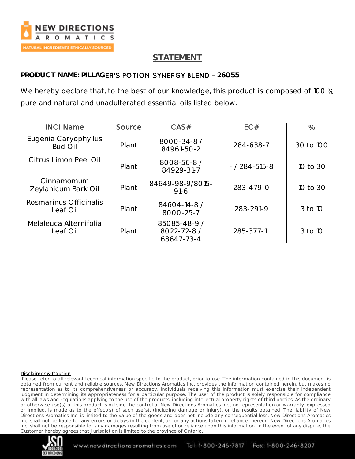

# **STATEMENT**

### **PRODUCT NAME: PILLAGER'S POTION SYNERGY BLEND - 26055**

We hereby declare that, to the best of our knowledge, this product is composed of 100 % pure and natural and unadulterated essential oils listed below.

| <b>INCI Name</b>                       | Source | CAS#                                      | EC#                 | $\frac{0}{0}$ |
|----------------------------------------|--------|-------------------------------------------|---------------------|---------------|
| Eugenia Caryophyllus<br><b>Bud Oil</b> | Plant  | 8000-34-8 /<br>84961-50-2                 | 284-638-7           | 30 to 100     |
| Citrus Limon Peel Oil                  | Plant  | 8008-56-8 /<br>84929-31-7                 | $- / 284 - 515 - 8$ | 10 to 30      |
| Cinnamomum<br>Zeylanicum Bark Oil      | Plant  | 84649-98-9/8015-<br>$91-6$                | 283-479-0           | 10 to 30      |
| Rosmarinus Officinalis<br>Leaf Oil     | Plant  | 84604-14-8 /<br>8000-25-7                 | 283-291-9           | 3 to 10       |
| Melaleuca Alternifolia<br>Leaf Oil     | Plant  | 85085-48-9 /<br>8022-72-8 /<br>68647-73-4 | 285-377-1           | 3 to 10       |

#### Disclaimer & Caution

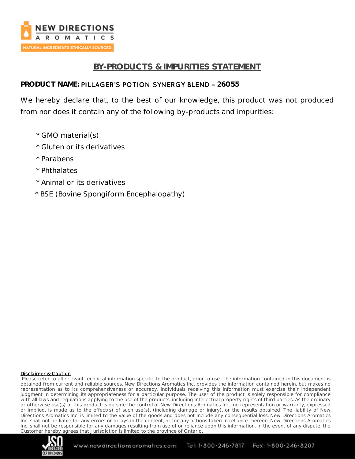

### **BY-PRODUCTS & IMPURITIES STATEMENT**

#### **PRODUCT NAME: PILLAGER'S POTION SYNERGY BLEND - 26055**

We hereby declare that, to the best of our knowledge, this product was not produced from nor does it contain any of the following by-products and impurities:

- \* GMO material(s)
- \* Gluten or its derivatives
- \* Parabens
- \* Phthalates
- \* Animal or its derivatives
- \* BSE (Bovine Spongiform Encephalopathy)

#### Disclaimer & Caution

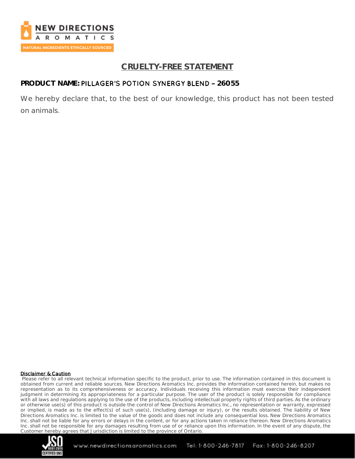

# **CRUELTY-FREE STATEMENT**

#### PRODUCT NAME: PILLAGER'S POTION SYNERGY BLEND - 26055

We hereby declare that, to the best of our knowledge, this product has not been tested on animals.

#### Disclaimer & Caution

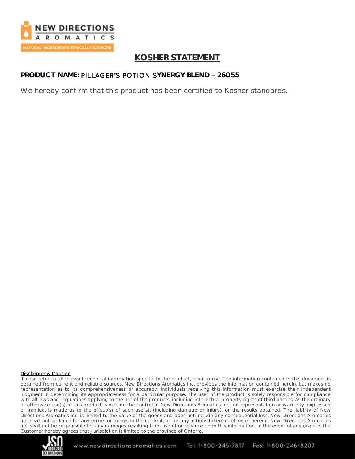

### **KOSHER STATEMENT**

### **PRODUCT NAME: PILLAGER'S POTION SYNERGY BLEND - 26055**

We hereby confirm that this product has been certified to Kosher standards.

#### Disclaimer & Caution

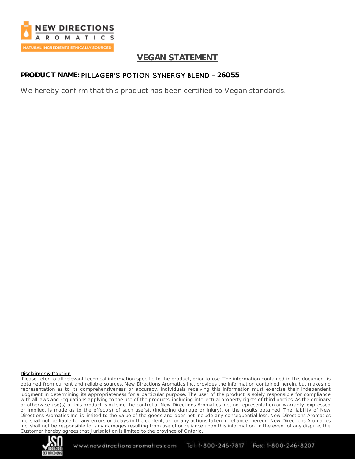

### **VEGAN STATEMENT**

### PRODUCT NAME: PILLAGER'S POTION SYNERGY BLEND - 26055

We hereby confirm that this product has been certified to Vegan standards.

#### Disclaimer & Caution

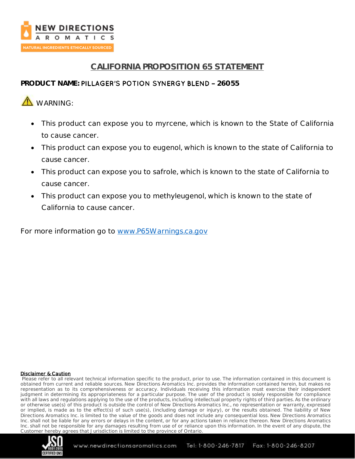

# **CALIFORNIA PROPOSITION 65 STATEMENT**

#### PRODUCT NAME: PILLAGER'S POTION SYNERGY BLEND - 26055

# **A**WARNING:

- This product can expose you to myrcene, which is known to the State of California to cause cancer.
- This product can expose you to eugenol, which is known to the state of California to cause cancer.
- This product can expose you to safrole, which is known to the state of California to cause cancer.
- This product can expose you to methyleugenol, which is known to the state of California to cause cancer.

For more information go to [www.P65Warnings.ca.gov](http://www.p65warnings.ca.gov/)

#### Disclaimer & Caution